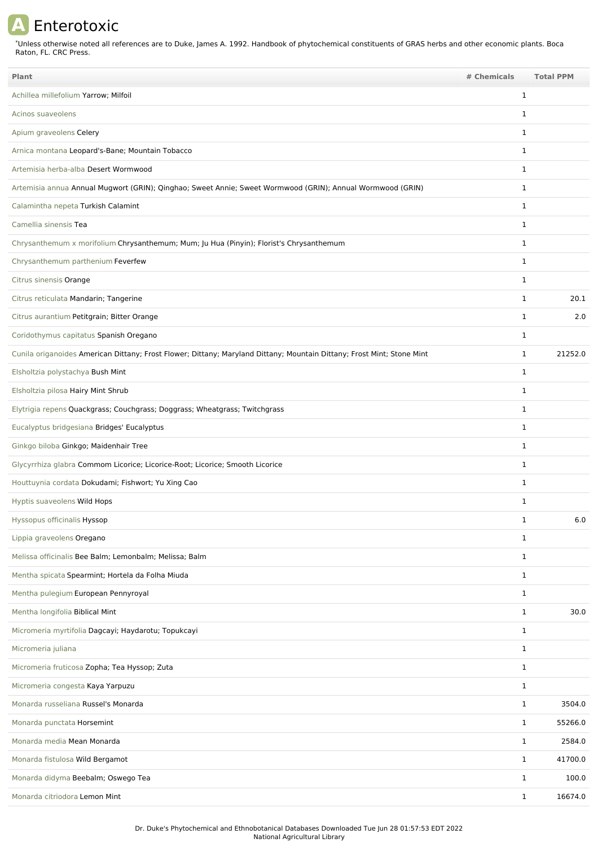## **A** Enterotoxic

Unless otherwise noted all references are to Duke, James A. 1992. Handbook of phytochemical constituents of GRAS herbs and other economic plants. Boca Raton, FL. CRC Press. \*

| <b>Plant</b>                                                                                                           | # Chemicals  | <b>Total PPM</b> |
|------------------------------------------------------------------------------------------------------------------------|--------------|------------------|
| Achillea millefolium Yarrow; Milfoil                                                                                   | $\mathbf{1}$ |                  |
| Acinos suaveolens                                                                                                      | 1            |                  |
| Apium graveolens Celery                                                                                                | $\mathbf{1}$ |                  |
| Arnica montana Leopard's-Bane; Mountain Tobacco                                                                        | 1            |                  |
| Artemisia herba-alba Desert Wormwood                                                                                   | $\mathbf{1}$ |                  |
| Artemisia annua Annual Mugwort (GRIN); Qinghao; Sweet Annie; Sweet Wormwood (GRIN); Annual Wormwood (GRIN)             | 1            |                  |
| Calamintha nepeta Turkish Calamint                                                                                     | 1            |                  |
| Camellia sinensis Tea                                                                                                  | 1            |                  |
| Chrysanthemum x morifolium Chrysanthemum; Mum; Ju Hua (Pinyin); Florist's Chrysanthemum                                | $\mathbf{1}$ |                  |
| Chrysanthemum parthenium Feverfew                                                                                      | $\mathbf{1}$ |                  |
| Citrus sinensis Orange                                                                                                 | $\mathbf{1}$ |                  |
| Citrus reticulata Mandarin; Tangerine                                                                                  | 1            | 20.1             |
| Citrus aurantium Petitgrain; Bitter Orange                                                                             | 1            | 2.0              |
| Coridothymus capitatus Spanish Oregano                                                                                 | $\mathbf{1}$ |                  |
| Cunila origanoides American Dittany; Frost Flower; Dittany; Maryland Dittany; Mountain Dittany; Frost Mint; Stone Mint | 1            | 21252.0          |
| Elsholtzia polystachya Bush Mint                                                                                       | $\mathbf{1}$ |                  |
| Elsholtzia pilosa Hairy Mint Shrub                                                                                     | $\mathbf{1}$ |                  |
| Elytrigia repens Quackgrass; Couchgrass; Doggrass; Wheatgrass; Twitchgrass                                             | $\mathbf{1}$ |                  |
| Eucalyptus bridgesiana Bridges' Eucalyptus                                                                             | $\mathbf{1}$ |                  |
| Ginkgo biloba Ginkgo; Maidenhair Tree                                                                                  | 1            |                  |
| Glycyrrhiza glabra Commom Licorice; Licorice-Root; Licorice; Smooth Licorice                                           | $\mathbf{1}$ |                  |
| Houttuynia cordata Dokudami; Fishwort; Yu Xing Cao                                                                     | 1            |                  |
| Hyptis suaveolens Wild Hops                                                                                            | $\mathbf{1}$ |                  |
| Hyssopus officinalis Hyssop                                                                                            | 1            | 6.0              |
| Lippia graveolens Oregano                                                                                              | $\mathbf{1}$ |                  |
| Melissa officinalis Bee Balm; Lemonbalm; Melissa; Balm                                                                 | $\mathbf{1}$ |                  |
| Mentha spicata Spearmint; Hortela da Folha Miuda                                                                       | $\mathbf{1}$ |                  |
| Mentha pulegium European Pennyroyal                                                                                    | $\mathbf{1}$ |                  |
| Mentha longifolia Biblical Mint                                                                                        | $\mathbf{1}$ | 30.0             |
| Micromeria myrtifolia Dagcayi; Haydarotu; Topukcayi                                                                    | $\mathbf{1}$ |                  |
| Micromeria juliana                                                                                                     | $\mathbf{1}$ |                  |
| Micromeria fruticosa Zopha; Tea Hyssop; Zuta                                                                           | $\mathbf{1}$ |                  |
| Micromeria congesta Kaya Yarpuzu                                                                                       | $\mathbf{1}$ |                  |
| Monarda russeliana Russel's Monarda                                                                                    | $\mathbf{1}$ | 3504.0           |
| Monarda punctata Horsemint                                                                                             | $\mathbf{1}$ | 55266.0          |
| Monarda media Mean Monarda                                                                                             | $\mathbf{1}$ | 2584.0           |
| Monarda fistulosa Wild Bergamot                                                                                        | $\mathbf{1}$ | 41700.0          |
| Monarda didyma Beebalm; Oswego Tea                                                                                     | $\mathbf{1}$ | 100.0            |
| Monarda citriodora Lemon Mint                                                                                          | $\mathbf{1}$ | 16674.0          |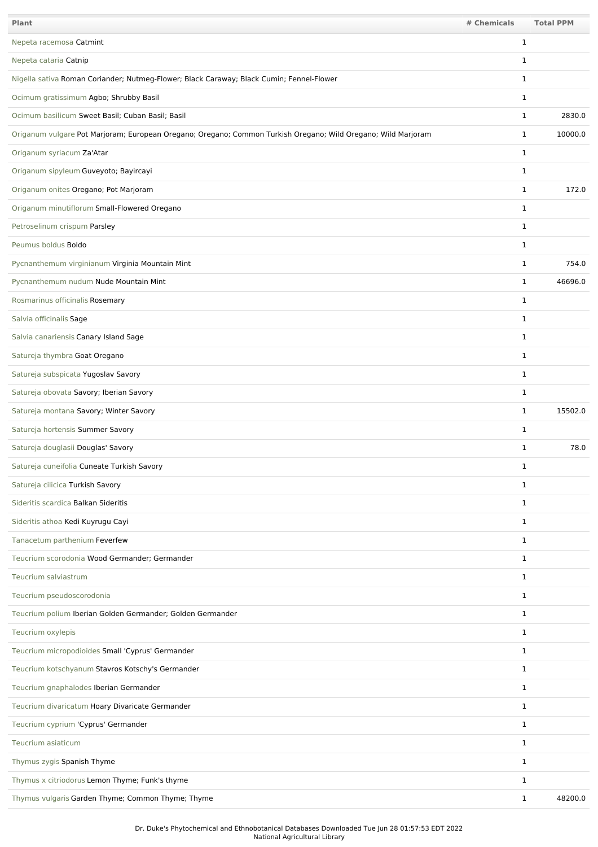| Plant                                                                                                         | # Chemicals  | <b>Total PPM</b> |
|---------------------------------------------------------------------------------------------------------------|--------------|------------------|
| Nepeta racemosa Catmint                                                                                       | $\mathbf{1}$ |                  |
| Nepeta cataria Catnip                                                                                         | 1            |                  |
| Nigella sativa Roman Coriander; Nutmeg-Flower; Black Caraway; Black Cumin; Fennel-Flower                      | $\mathbf{1}$ |                  |
| Ocimum gratissimum Agbo; Shrubby Basil                                                                        | 1            |                  |
| Ocimum basilicum Sweet Basil; Cuban Basil; Basil                                                              | $\mathbf{1}$ | 2830.0           |
| Origanum vulgare Pot Marjoram; European Oregano; Oregano; Common Turkish Oregano; Wild Oregano; Wild Marjoram | 1            | 10000.0          |
| Origanum syriacum Za'Atar                                                                                     | $\mathbf{1}$ |                  |
| Origanum sipyleum Guveyoto; Bayircayi                                                                         | 1            |                  |
| Origanum onites Oregano; Pot Marjoram                                                                         | $\mathbf{1}$ | 172.0            |
| Origanum minutiflorum Small-Flowered Oregano                                                                  | $\mathbf{1}$ |                  |
| Petroselinum crispum Parsley                                                                                  | 1            |                  |
| Peumus boldus Boldo                                                                                           | 1            |                  |
| Pycnanthemum virginianum Virginia Mountain Mint                                                               | 1            | 754.0            |
| Pycnanthemum nudum Nude Mountain Mint                                                                         | 1            | 46696.0          |
| Rosmarinus officinalis Rosemary                                                                               | 1            |                  |
| Salvia officinalis Sage                                                                                       | $\mathbf{1}$ |                  |
| Salvia canariensis Canary Island Sage                                                                         | $\mathbf{1}$ |                  |
| Satureja thymbra Goat Oregano                                                                                 | $\mathbf{1}$ |                  |
| Satureja subspicata Yugoslav Savory                                                                           | $\mathbf{1}$ |                  |
| Satureja obovata Savory; Iberian Savory                                                                       | $\mathbf{1}$ |                  |
| Satureja montana Savory; Winter Savory                                                                        | 1            | 15502.0          |
| Satureja hortensis Summer Savory                                                                              | 1            |                  |
| Satureja douglasii Douglas' Savory                                                                            | 1            | 78.0             |
| Satureja cuneifolia Cuneate Turkish Savory                                                                    | 1            |                  |
| Satureja cilicica Turkish Savory                                                                              | $\mathbf{1}$ |                  |
| Sideritis scardica Balkan Sideritis                                                                           | $\mathbf{1}$ |                  |
| Sideritis athoa Kedi Kuyrugu Cayi                                                                             | $\mathbf{1}$ |                  |
| Tanacetum parthenium Feverfew                                                                                 | $\mathbf{1}$ |                  |
| Teucrium scorodonia Wood Germander; Germander                                                                 | $\mathbf{1}$ |                  |
| Teucrium salviastrum                                                                                          | 1            |                  |
| Teucrium pseudoscorodonia                                                                                     | $\mathbf{1}$ |                  |
| Teucrium polium Iberian Golden Germander; Golden Germander                                                    | $\mathbf{1}$ |                  |
| Teucrium oxylepis                                                                                             | $\mathbf{1}$ |                  |
| Teucrium micropodioides Small 'Cyprus' Germander                                                              | $\mathbf{1}$ |                  |
| Teucrium kotschyanum Stavros Kotschy's Germander                                                              | $\mathbf{1}$ |                  |
| Teucrium gnaphalodes Iberian Germander                                                                        | $\mathbf{1}$ |                  |
| Teucrium divaricatum Hoary Divaricate Germander                                                               | 1            |                  |
| Teucrium cyprium 'Cyprus' Germander                                                                           | $\mathbf{1}$ |                  |
| Teucrium asiaticum                                                                                            | $\mathbf{1}$ |                  |
| Thymus zygis Spanish Thyme                                                                                    | $\mathbf 1$  |                  |
| Thymus x citriodorus Lemon Thyme; Funk's thyme                                                                | 1            |                  |
| Thymus vulgaris Garden Thyme; Common Thyme; Thyme                                                             | $\mathbf{1}$ | 48200.0          |